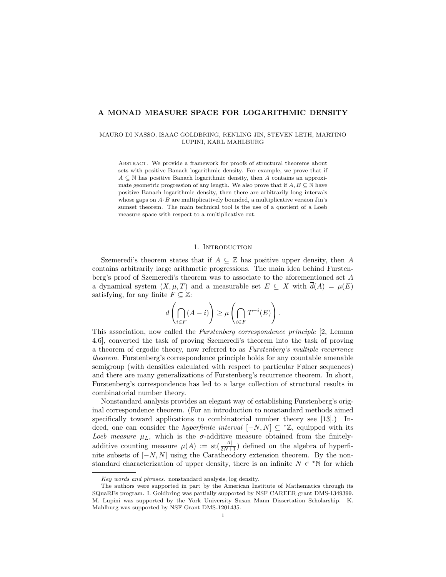# A MONAD MEASURE SPACE FOR LOGARITHMIC DENSITY

## MAURO DI NASSO, ISAAC GOLDBRING, RENLING JIN, STEVEN LETH, MARTINO LUPINI, KARL MAHLBURG

ABSTRACT. We provide a framework for proofs of structural theorems about sets with positive Banach logarithmic density. For example, we prove that if  $A \subseteq \mathbb{N}$  has positive Banach logarithmic density, then A contains an approximate geometric progression of any length. We also prove that if  $A, B \subseteq \mathbb{N}$  have positive Banach logarithmic density, then there are arbitrarily long intervals whose gaps on  $A \cdot B$  are multiplicatively bounded, a multiplicative version Jin's sumset theorem. The main technical tool is the use of a quotient of a Loeb measure space with respect to a multiplicative cut.

# 1. INTRODUCTION

Szemeredi's theorem states that if  $A \subseteq \mathbb{Z}$  has positive upper density, then A contains arbitrarily large arithmetic progressions. The main idea behind Furstenberg's proof of Szemeredi's theorem was to associate to the aforementioned set A a dynamical system  $(X, \mu, T)$  and a measurable set  $E \subseteq X$  with  $\overline{d}(A) = \mu(E)$ satisfying, for any finite  $F \subseteq \mathbb{Z}$ :

$$
\overline{d}\left(\bigcap_{i\in F} (A-i)\right) \geq \mu\left(\bigcap_{i\in F} T^{-i}(E)\right).
$$

This association, now called the Furstenberg correspondence principle [2, Lemma 4.6], converted the task of proving Szemeredi's theorem into the task of proving a theorem of ergodic theory, now referred to as Furstenberg's multiple recurrence theorem. Furstenberg's correspondence principle holds for any countable amenable semigroup (with densities calculated with respect to particular Følner sequences) and there are many generalizations of Furstenberg's recurrence theorem. In short, Furstenberg's correspondence has led to a large collection of structural results in combinatorial number theory.

Nonstandard analysis provides an elegant way of establishing Furstenberg's original correspondence theorem. (For an introduction to nonstandard methods aimed specifically toward applications to combinatorial number theory see [13].) Indeed, one can consider the *hyperfinite interval*  $[-N, N] \subseteq \mathbb{Z}$ , equipped with its Loeb measure  $\mu_L$ , which is the  $\sigma$ -additive measure obtained from the finitelyadditive counting measure  $\mu(A) := \text{st}(\frac{|A|}{2N+1})$  defined on the algebra of hyperfinite subsets of  $[-N, N]$  using the Caratheodory extension theorem. By the nonstandard characterization of upper density, there is an infinite  $N \in N$  for which

Key words and phrases. nonstandard analysis, log density.

The authors were supported in part by the American Institute of Mathematics through its SQuaREs program. I. Goldbring was partially supported by NSF CAREER grant DMS-1349399. M. Lupini was supported by the York University Susan Mann Dissertation Scholarship. K. Mahlburg was supported by NSF Grant DMS-1201435.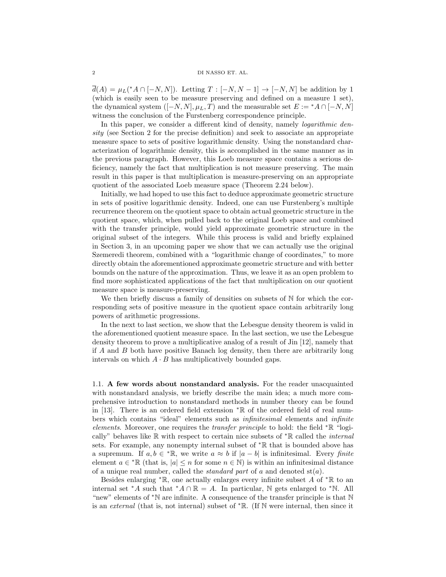# 2 DI NASSO ET. AL.

 $\overline{d}(A) = \mu_L({^*A} \cap [-N,N])$ . Letting  $T : [-N,N-1] \to [-N,N]$  be addition by 1 (which is easily seen to be measure preserving and defined on a measure 1 set), the dynamical system  $([-N, N], \mu_L, T)$  and the measurable set  $E := {}^*A \cap [-N, N]$ witness the conclusion of the Furstenberg correspondence principle.

In this paper, we consider a different kind of density, namely *logarithmic den*sity (see Section 2 for the precise definition) and seek to associate an appropriate measure space to sets of positive logarithmic density. Using the nonstandard characterization of logarithmic density, this is accomplished in the same manner as in the previous paragraph. However, this Loeb measure space contains a serious deficiency, namely the fact that multiplication is not measure preserving. The main result in this paper is that multiplication is measure-preserving on an appropriate quotient of the associated Loeb measure space (Theorem 2.24 below).

Initially, we had hoped to use this fact to deduce approximate geometric structure in sets of positive logarithmic density. Indeed, one can use Furstenberg's multiple recurrence theorem on the quotient space to obtain actual geometric structure in the quotient space, which, when pulled back to the original Loeb space and combined with the transfer principle, would yield approximate geometric structure in the original subset of the integers. While this process is valid and briefly explained in Section 3, in an upcoming paper we show that we can actually use the original Szemeredi theorem, combined with a "logarithmic change of coordinates," to more directly obtain the aforementioned approximate geometric structure and with better bounds on the nature of the approximation. Thus, we leave it as an open problem to find more sophisticated applications of the fact that multiplication on our quotient measure space is measure-preserving.

We then briefly discuss a family of densities on subsets of  $N$  for which the corresponding sets of positive measure in the quotient space contain arbitrarily long powers of arithmetic progressions.

In the next to last section, we show that the Lebesgue density theorem is valid in the aforementioned quotient measure space. In the last section, we use the Lebesgue density theorem to prove a multiplicative analog of a result of Jin [12], namely that if A and B both have positive Banach log density, then there are arbitrarily long intervals on which  $A \cdot B$  has multiplicatively bounded gaps.

1.1. A few words about nonstandard analysis. For the reader unacquainted with nonstandard analysis, we briefly describe the main idea; a much more comprehensive introduction to nonstandard methods in number theory can be found in [13]. There is an ordered field extension <sup>∗</sup>R of the ordered field of real numbers which contains "ideal" elements such as infinitesimal elements and infinite elements. Moreover, one requires the transfer principle to hold: the field <sup>∗</sup>R "logically" behaves like  $\mathbb R$  with respect to certain nice subsets of  $* \mathbb R$  called the *internal* sets. For example, any nonempty internal subset of <sup>∗</sup>R that is bounded above has a supremum. If  $a, b \in {}^{\ast} \mathbb{R}$ , we write  $a \approx b$  if  $|a - b|$  is infinitesimal. Every finite element  $a \in {}^{\ast} \mathbb{R}$  (that is,  $|a| \leq n$  for some  $n \in \mathbb{N}$ ) is within an infinitesimal distance of a unique real number, called the *standard part* of a and denoted  $st(a)$ .

Besides enlarging \* $\mathbb{R}$ , one actually enlarges every infinite subset A of \* $\mathbb{R}$  to an internal set \*A such that \*A ∩ R = A. In particular, N gets enlarged to \*N. All "new" elements of <sup>∗</sup>N are infinite. A consequence of the transfer principle is that N is an external (that is, not internal) subset of <sup>∗</sup>R. (If N were internal, then since it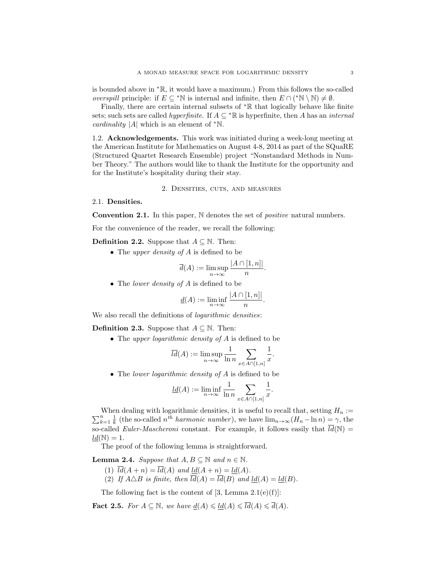is bounded above in <sup>∗</sup>R, it would have a maximum.) From this follows the so-called *overspill* principle: if  $E \subseteq {}^*\mathbb{N}$  is internal and infinite, then  $E \cap ({}^*\mathbb{N} \setminus \mathbb{N}) \neq \emptyset$ .

Finally, there are certain internal subsets of <sup>∗</sup>R that logically behave like finite sets; such sets are called *hyperfinite*. If  $A \subseteq {}^{\ast} \mathbb{R}$  is hyperfinite, then A has an *internal cardinality* |A| which is an element of  $*N$ .

1.2. Acknowledgements. This work was initiated during a week-long meeting at the American Institute for Mathematics on August 4-8, 2014 as part of the SQuaRE (Structured Quartet Research Ensemble) project "Nonstandard Methods in Number Theory." The authors would like to thank the Institute for the opportunity and for the Institute's hospitality during their stay.

# 2. Densities, cuts, and measures

### 2.1. Densities.

**Convention 2.1.** In this paper,  $\mathbb N$  denotes the set of *positive* natural numbers.

For the convenience of the reader, we recall the following:

**Definition 2.2.** Suppose that  $A \subseteq \mathbb{N}$ . Then:

• The upper density of  $A$  is defined to be

$$
\overline{d}(A) := \limsup_{n \to \infty} \frac{|A \cap [1, n]|}{n}.
$$

• The *lower density of A* is defined to be

$$
\underline{d}(A) := \liminf_{n \to \infty} \frac{|A \cap [1, n]|}{n}.
$$

We also recall the definitions of *logarithmic densities*:

**Definition 2.3.** Suppose that  $A \subseteq \mathbb{N}$ . Then:

• The *upper logarithmic density of A* is defined to be

$$
\overline{ld}(A) := \limsup_{n \to \infty} \frac{1}{\ln n} \sum_{x \in A \cap [1, n]} \frac{1}{x}.
$$

• The lower logarithmic density of A is defined to be

$$
\underline{ld}(A) := \liminf_{n \to \infty} \frac{1}{\ln n} \sum_{x \in A \cap [1, n]} \frac{1}{x}.
$$

P When dealing with logarithmic densities, it is useful to recall that, setting  $H_n :=$ <br> $\frac{n}{k-1} \frac{1}{k}$  (the so-called  $n^{th}$  harmonic number), we have  $\lim_{n\to\infty} (H_n - \ln n) = \gamma$ , the so-called *Euler-Mascheroni* constant. For example, it follows easily that  $\overline{ld}(\mathbb{N}) =$  $ld(N) = 1.$ 

The proof of the following lemma is straightforward.

**Lemma 2.4.** Suppose that  $A, B \subseteq \mathbb{N}$  and  $n \in \mathbb{N}$ .

- (1)  $\overline{ld}(A + n) = \overline{ld}(A)$  and  $\underline{ld}(A + n) = \underline{ld}(A)$ .
- (2) If  $A \triangle B$  is finite, then  $\overline{ld}(A) = \overline{ld}(B)$  and  $ld(A) = ld(B)$ .

The following fact is the content of  $[3, \text{Lemma } 2.1(e)(f)]$ :

Fact 2.5. For  $A \subseteq \mathbb{N}$ , we have  $d(A) \leq d(A) \leq \overline{d}(A) \leq \overline{d}(A)$ .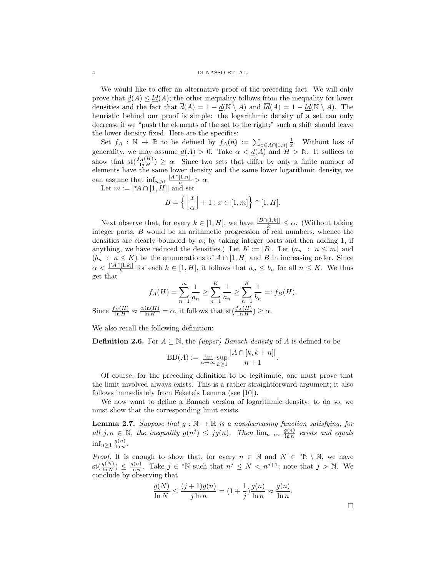### 4 DI NASSO ET. AL.

We would like to offer an alternative proof of the preceding fact. We will only prove that  $\underline{d}(A) \leq \underline{ld}(A)$ ; the other inequality follows from the inequality for lower densities and the fact that  $\overline{d}(A) = 1 - d(\mathbb{N} \setminus A)$  and  $\overline{ld}(A) = 1 - ld(\mathbb{N} \setminus A)$ . The heuristic behind our proof is simple: the logarithmic density of a set can only decrease if we "push the elements of the set to the right;" such a shift should leave the lower density fixed. Here are the specifics:

Set  $f_A : \mathbb{N} \to \mathbb{R}$  to be defined by  $f_A(n) := \sum_{x \in A \cap [1,n]} \frac{1}{x}$ . Without loss of generality, we may assume  $\underline{d}(A) > 0$ . Take  $\alpha < \underline{d}(A)$  and  $H > \mathbb{N}$ . It suffices to show that  $\text{st}(\frac{f_A(H)}{\ln H}) \geq \alpha$ . Since two sets that differ by only a finite number of elements have the same lower density and the same lower logarithmic density, we can assume that  $\inf_{n\geqslant 1} \frac{|A\cap [1,n]|}{n} > \alpha$ .

Let  $m := |^{\ast}A \cap [1, H]|$  and set

$$
B = \left\{ \left\lfloor \frac{x}{\alpha} \right\rfloor + 1 : x \in [1, m] \right\} \cap [1, H].
$$

Next observe that, for every  $k \in [1, H]$ , we have  $\frac{|B \cap [1,k]|}{k} \leq \alpha$ . (Without taking integer parts, B would be an arithmetic progression of real numbers, whence the densities are clearly bounded by  $\alpha$ ; by taking integer parts and then adding 1, if anything, we have reduced the densities.) Let  $K := |B|$ . Let  $(a_n : n \leq m)$  and  $(b_n : n \leq K)$  be the enumerations of  $A \cap [1, H]$  and B in increasing order. Since  $\alpha < \frac{|{}^{\ast}A \cap [1,k]|}{k}$  $\frac{f[1,k]}{k}$  for each  $k \in [1,H]$ , it follows that  $a_n \leq b_n$  for all  $n \leq K$ . We thus get that

$$
f_A(H) = \sum_{n=1}^{m} \frac{1}{a_n} \ge \sum_{n=1}^{K} \frac{1}{a_n} \ge \sum_{n=1}^{K} \frac{1}{b_n} =: f_B(H).
$$

Since  $\frac{f_B(H)}{\ln H} \approx \frac{\alpha \ln(H)}{\ln H} = \alpha$ , it follows that  $\text{st}(\frac{f_A(H)}{\ln H}) \ge \alpha$ .

We also recall the following definition:

**Definition 2.6.** For  $A \subseteq \mathbb{N}$ , the *(upper) Banach density* of A is defined to be

$$
BD(A) := \lim_{n \to \infty} \sup_{k \ge 1} \frac{|A \cap [k, k+n]|}{n+1}
$$

Of course, for the preceding definition to be legitimate, one must prove that the limit involved always exists. This is a rather straightforward argument; it also follows immediately from Fekete's Lemma (see [10]).

We now want to define a Banach version of logarithmic density; to do so, we must show that the corresponding limit exists.

**Lemma 2.7.** Suppose that  $g : \mathbb{N} \to \mathbb{R}$  is a nondecreasing function satisfying, for all  $j, n \in \mathbb{N}$ , the inequality  $g(n^j) \leq jg(n)$ . Then  $\lim_{n \to \infty} \frac{g(n)}{\ln n}$  $\frac{g(n)}{\ln n}$  exists and equals  $\inf_{n\geq 1} \frac{g(n)}{\ln n}$  $\frac{g(n)}{\ln n}$ .

*Proof.* It is enough to show that, for every  $n \in \mathbb{N}$  and  $N \in {^*N} \setminus \mathbb{N}$ , we have  $\operatorname{st}(\frac{g(N)}{\ln N}) \leq \frac{g(n)}{\ln n}$  $\frac{g(n)}{\ln n}$ . Take  $j \in {}^* \mathbb{N}$  such that  $n^j \leq N < n^{j+1}$ ; note that  $j > \mathbb{N}$ . We conclude by observing that

$$
\frac{g(N)}{\ln N} \le \frac{(j+1)g(n)}{j \ln n} = \left(1 + \frac{1}{j}\right) \frac{g(n)}{\ln n} \approx \frac{g(n)}{\ln n}.
$$

.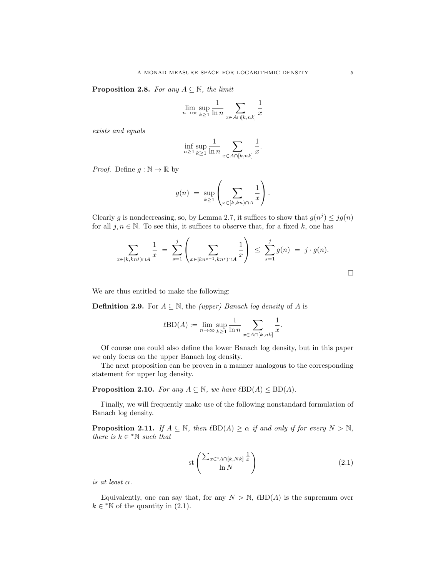**Proposition 2.8.** For any  $A \subseteq \mathbb{N}$ , the limit

$$
\lim_{n \to \infty} \sup_{k \ge 1} \frac{1}{\ln n} \sum_{x \in A \cap [k, nk]} \frac{1}{x}
$$

exists and equals

$$
\inf_{n\geq 1}\sup_{k\geq 1}\frac{1}{\ln n}\sum_{x\in A\cap[k,nk]}\frac{1}{x}.
$$

*Proof.* Define  $q : \mathbb{N} \to \mathbb{R}$  by

$$
g(n) = \sup_{k \ge 1} \left( \sum_{x \in [k, kn) \cap A} \frac{1}{x} \right).
$$

Clearly g is nondecreasing, so, by Lemma 2.7, it suffices to show that  $g(n^j) \leq jg(n)$ for all  $j, n \in \mathbb{N}$ . To see this, it suffices to observe that, for a fixed k, one has

$$
\sum_{x \in [k, kn^j) \cap A} \frac{1}{x} = \sum_{s=1}^j \left( \sum_{x \in [kn^{s-1}, kn^s) \cap A} \frac{1}{x} \right) \leq \sum_{s=1}^j g(n) = j \cdot g(n).
$$

We are thus entitled to make the following:

**Definition 2.9.** For  $A \subseteq \mathbb{N}$ , the *(upper) Banach log density* of A is

$$
\ell \text{BD}(A) := \lim_{n \to \infty} \sup_{k \ge 1} \frac{1}{\ln n} \sum_{x \in A \cap [k, nk]} \frac{1}{x}.
$$

Of course one could also define the lower Banach log density, but in this paper we only focus on the upper Banach log density.

The next proposition can be proven in a manner analogous to the corresponding statement for upper log density.

**Proposition 2.10.** For any  $A \subseteq \mathbb{N}$ , we have  $\ell BD(A) \le BD(A)$ .

Finally, we will frequently make use of the following nonstandard formulation of Banach log density.

**Proposition 2.11.** If  $A \subseteq \mathbb{N}$ , then  $B\Box(A) \geq \alpha$  if and only if for every  $N > \mathbb{N}$ , there is  $k \in \mathbb{N}$  such that

$$
\text{st}\left(\frac{\sum_{x\in^*A\cap[k,Nk]}\frac{1}{x}}{\ln N}\right) \tag{2.1}
$$

is at least  $\alpha$ .

Equivalently, one can say that, for any  $N > N$ ,  $\ell BD(A)$  is the supremum over  $k \in \mathbb{N}$  of the quantity in (2.1).

 $\Box$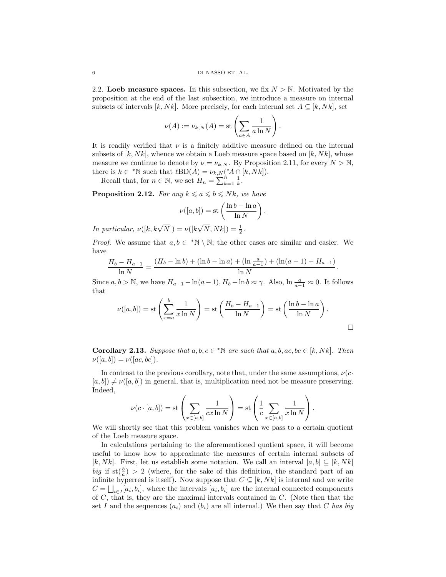2.2. Loeb measure spaces. In this subsection, we fix  $N > N$ . Motivated by the proposition at the end of the last subsection, we introduce a measure on internal subsets of intervals  $[k, Nk]$ . More precisely, for each internal set  $A \subseteq [k, Nk]$ , set

$$
\nu(A) := \nu_{k,N}(A) = \text{st}\left(\sum_{a \in A} \frac{1}{a \ln N}\right).
$$

It is readily verified that  $\nu$  is a finitely additive measure defined on the internal subsets of  $[k, Nk]$ , whence we obtain a Loeb measure space based on  $[k, Nk]$ , whose measure we continue to denote by  $\nu = \nu_{k,N}$ . By Proposition 2.11, for every  $N > N$ , there is  $k \in {}^{\ast} \mathbb{N}$  such that  $\ell BD(A) = \nu_{k,N} ({}^{\ast} A \cap [k, Nk]).$ 

Recall that, for  $n \in \mathbb{N}$ , we set  $H_n = \sum_{k=1}^n \frac{1}{k}$ .

**Proposition 2.12.** For any  $k \le a \le b \le Nk$ , we have

$$
\nu([a, b]) = \text{st}\left(\frac{\ln b - \ln a}{\ln N}\right).
$$

In particular,  $\nu([k, k\sqrt{N}]) = \nu([k, k\sqrt{N}])$  $\sqrt{N}, Nk]$ ) =  $\frac{1}{2}$ .

*Proof.* We assume that  $a, b \in {}^{\ast} \mathbb{N} \setminus \mathbb{N}$ ; the other cases are similar and easier. We have

$$
\frac{H_b - H_{a-1}}{\ln N} = \frac{(H_b - \ln b) + (\ln b - \ln a) + (\ln \frac{a}{a-1}) + (\ln(a-1) - H_{a-1})}{\ln N}.
$$

Since  $a, b > \mathbb{N}$ , we have  $H_{a-1} - \ln(a-1), H_b - \ln b \approx \gamma$ . Also,  $\ln \frac{a}{a-1} \approx 0$ . It follows that

$$
\nu([a,b]) = \text{st}\left(\sum_{x=a}^{b} \frac{1}{x \ln N}\right) = \text{st}\left(\frac{H_b - H_{a-1}}{\ln N}\right) = \text{st}\left(\frac{\ln b - \ln a}{\ln N}\right).
$$

**Corollary 2.13.** Suppose that  $a, b, c \in \mathbb{N}$  are such that  $a, b, ac, bc \in [k, Nk]$ . Then  $\nu([a, b]) = \nu([ac, bc]).$ 

In contrast to the previous corollary, note that, under the same assumptions,  $\nu(c \cdot \mathbf{r})$  $[a, b] \neq \nu([a, b])$  in general, that is, multiplication need not be measure preserving. Indeed,

$$
\nu(c \cdot [a, b]) = \text{st}\left(\sum_{x \in [a, b]} \frac{1}{cx \ln N}\right) = \text{st}\left(\frac{1}{c} \sum_{x \in [a, b]} \frac{1}{x \ln N}\right).
$$

We will shortly see that this problem vanishes when we pass to a certain quotient of the Loeb measure space.

In calculations pertaining to the aforementioned quotient space, it will become useful to know how to approximate the measures of certain internal subsets of [k, Nk]. First, let us establish some notation. We call an interval [a, b]  $\subseteq$  [k, Nk] big if  $\text{st}(\frac{b}{a}) > 2$  (where, for the sake of this definition, the standard part of an infinite hyperreal is itself). Now suppose that  $C \subseteq [k, Nk]$  is internal and we write  $C = \bigsqcup_{i \in I} [a_i, b_i]$ , where the intervals  $[a_i, b_i]$  are the internal connected components of  $C$ , that is, they are the maximal intervals contained in  $C$ . (Note then that the set I and the sequences  $(a_i)$  and  $(b_i)$  are all internal.) We then say that C has big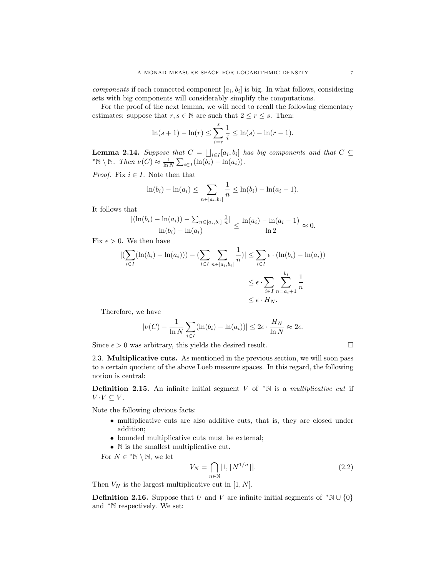components if each connected component  $[a_i, b_i]$  is big. In what follows, considering sets with big components will considerably simplify the computations.

For the proof of the next lemma, we will need to recall the following elementary estimates: suppose that  $r, s \in \mathbb{N}$  are such that  $2 \le r \le s$ . Then:

$$
\ln(s+1) - \ln(r) \le \sum_{i=r}^{s} \frac{1}{i} \le \ln(s) - \ln(r-1).
$$

**Lemma 2.14.** Suppose that  $C = \bigsqcup_{i \in I} [a_i, b_i]$  has big components and that  $C \subseteq$ \*N \ N. Then  $\nu(C) \approx \frac{1}{\ln N} \sum_{i \in I} (\ln(b_i) - \ln(a_i)).$ 

*Proof.* Fix  $i \in I$ . Note then that

$$
\ln(b_i) - \ln(a_i) \le \sum_{n \in [a_i, b_i]} \frac{1}{n} \le \ln(b_i) - \ln(a_i - 1).
$$

It follows that

$$
\frac{|(\ln(b_i) - \ln(a_i)) - \sum_{n \in [a_i, b_i]} \frac{1}{n}|}{\ln(b_i) - \ln(a_i)} \le \frac{\ln(a_i) - \ln(a_i - 1)}{\ln 2} \approx 0.
$$

Fix  $\epsilon > 0$ . We then have

$$
\left| \left( \sum_{i \in I} (\ln(b_i) - \ln(a_i)) \right) - \left( \sum_{i \in I} \sum_{n \in [a_i, b_i]} \frac{1}{n} \right) \right| \le \sum_{i \in I} \epsilon \cdot (\ln(b_i) - \ln(a_i))
$$
  

$$
\le \epsilon \cdot \sum_{i \in I} \sum_{n = a_i + 1}^{b_i} \frac{1}{n}
$$
  

$$
\le \epsilon \cdot H_N.
$$

Therefore, we have

$$
|\nu(C) - \frac{1}{\ln N} \sum_{i \in I} (\ln(b_i) - \ln(a_i))| \le 2\epsilon \cdot \frac{H_N}{\ln N} \approx 2\epsilon.
$$

Since  $\epsilon > 0$  was arbitrary, this yields the desired result.

2.3. Multiplicative cuts. As mentioned in the previous section, we will soon pass to a certain quotient of the above Loeb measure spaces. In this regard, the following notion is central:

**Definition 2.15.** An infinite initial segment V of  $*N$  is a multiplicative cut if  $V \cdot V \subseteq V$ .

Note the following obvious facts:

- multiplicative cuts are also additive cuts, that is, they are closed under addition;
- bounded multiplicative cuts must be external;
- N is the smallest multiplicative cut.

For  $N \in {}^*\mathbb{N} \setminus \mathbb{N}$ , we let

$$
V_N = \bigcap_{n \in \mathbb{N}} [1, \lfloor N^{1/n} \rfloor]. \tag{2.2}
$$

Then  $V_N$  is the largest multiplicative cut in [1, N].

**Definition 2.16.** Suppose that U and V are infinite initial segments of  $*N \cup \{0\}$ and <sup>∗</sup>N respectively. We set: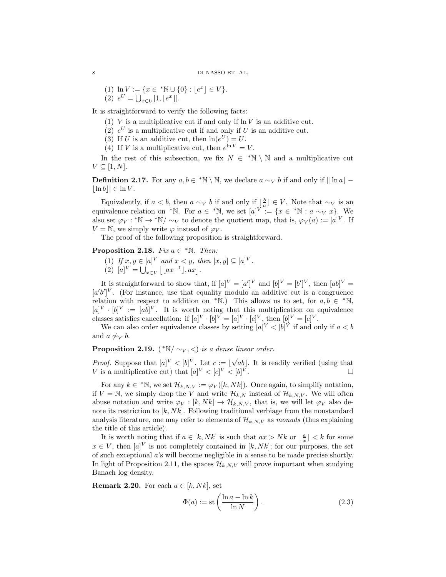(1) 
$$
\ln V := \{x \in {}^*\mathbb{N} \cup \{0\} : \lfloor e^x \rfloor \in V\}.
$$
  
(2)  $e^U = \bigcup_{x \in U} [1, \lfloor e^x \rfloor].$ 

It is straightforward to verify the following facts:

- (1)  $V$  is a multiplicative cut if and only if  $\ln V$  is an additive cut.
- (2)  $e^U$  is a multiplicative cut if and only if U is an additive cut.
- (3) If U is an additive cut, then  $\ln(e^U) = U$ .
- (4) If V is a multiplicative cut, then  $e^{\ln V} = V$ .

In the rest of this subsection, we fix  $N \in \mathbb{N} \setminus \mathbb{N}$  and a multiplicative cut  $V \subseteq [1, N].$ 

**Definition 2.17.** For any  $a, b \in \mathbb{N} \setminus \mathbb{N}$ , we declare  $a \sim_V b$  if and only if  $\lfloor \lfloor \ln a \rfloor |\ln b|| \in \ln V$ .

Equivalently, if  $a < b$ , then  $a \sim_V b$  if and only if  $\lfloor \frac{b}{a} \rfloor \in V$ . Note that  $\sim_V$  is an equivalence relation on \*N. For  $a \in {}^{\ast} \mathbb{N}$ , we set  $[a]^{V} := \{x \in {}^{\ast} \mathbb{N} : a \sim_V x\}$ . We also set  $\varphi_V : {}^*\mathbb{N} \to {}^*\mathbb{N}/\sim_V$  to denote the quotient map, that is,  $\varphi_V(a) := [a]^V$ . If  $V = N$ , we simply write  $\varphi$  instead of  $\varphi_V$ .

The proof of the following proposition is straightforward.

# Proposition 2.18. Fix  $a \in {}^{\ast} \mathbb{N}$ . Then:

(1) If  $x, y \in [a]^V$  and  $x < y$ , then  $[x, y] \subseteq [a]^V$ . (2)  $[a]^{V} = \bigcup_{x \in V} [(ax^{-1}], ax].$ 

It is straightforward to show that, if  $[a]^V = [a']^V$  and  $[b]^V = [b']^V$ , then  $[ab]^V =$  $[a'b']^V$ . (For instance, use that equality modulo an additive cut is a congruence relation with respect to addition on \*N.) This allows us to set, for  $a, b \in {}^{\ast} \mathbb{N}$ ,  $[a]^{V} \cdot [b]^{V} := [ab]^{V}$ . It is worth noting that this multiplication on equivalence classes satisfies cancellation: if  $[a]^V \cdot [b]^V = [a]^V \cdot [c]^V$ , then  $[b]^V = [c]^V$ .

We can also order equivalence classes by setting  $[a]^V < [b]^V$  if and only if  $a < b$ and  $a \not\sim_V b$ .

# **Proposition 2.19.** (\* $\mathbb{N}/\sim_V$ , <) is a dense linear order.

*Proof.* Suppose that  $[a]^V < [b]^V$ . Let  $c := |$ √  $[ab]$ . It is readily verified (using that V is a multiplicative cut) that  $[a]^V < [c]^V < [b]^{\bar{V}}$ .

For any  $k \in {}^{\ast} \mathbb{N}$ , we set  $\mathcal{H}_{k,N,V} := \varphi_V([k,Nk])$ . Once again, to simplify notation, if  $V = N$ , we simply drop the V and write  $\mathcal{H}_{k,N}$  instead of  $\mathcal{H}_{k,N,V}$ . We will often abuse notation and write  $\varphi_V : [k, Nk] \to \mathcal{H}_{k,N,V}$ , that is, we will let  $\varphi_V$  also denote its restriction to  $[k, Nk]$ . Following traditional verbiage from the nonstandard analysis literature, one may refer to elements of  $\mathcal{H}_{k,N,V}$  as monads (thus explaining the title of this article).

It is worth noting that if  $a \in [k, Nk]$  is such that  $ax > Nk$  or  $\lfloor \frac{a}{x} \rfloor < k$  for some  $x \in V$ , then  $[a]^V$  is not completely contained in  $[k, Nk]$ ; for our purposes, the set of such exceptional a's will become negligible in a sense to be made precise shortly. In light of Proposition 2.11, the spaces  $\mathcal{H}_{k,N,V}$  will prove important when studying Banach log density.

**Remark 2.20.** For each  $a \in [k, Nk]$ , set

$$
\Phi(a) := \text{st}\left(\frac{\ln a - \ln k}{\ln N}\right). \tag{2.3}
$$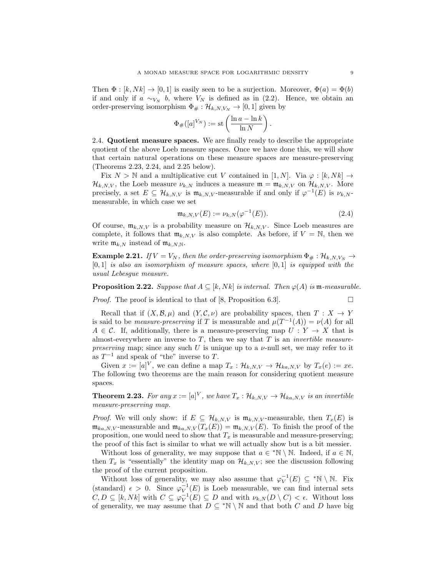Then  $\Phi : [k, Nk] \to [0, 1]$  is easily seen to be a surjection. Moreover,  $\Phi(a) = \Phi(b)$ if and only if  $a \sim_{V_N} b$ , where  $V_N$  is defined as in (2.2). Hence, we obtain an order-preserving isomorphism  $\Phi_{\#} : \mathcal{H}_{k,N,V_N} \to [0,1]$  given by

$$
\Phi_{\#}([a]^{V_N}) := \mathrm{st}\left(\frac{\ln a - \ln k}{\ln N}\right).
$$

2.4. Quotient measure spaces. We are finally ready to describe the appropriate quotient of the above Loeb measure spaces. Once we have done this, we will show that certain natural operations on these measure spaces are measure-preserving (Theorems 2.23, 2.24, and 2.25 below).

Fix  $N > N$  and a multiplicative cut V contained in [1, N]. Via  $\varphi : [k, Nk] \to$  $\mathcal{H}_{k,N,V}$ , the Loeb measure  $\nu_{k,N}$  induces a measure  $\mathfrak{m} = \mathfrak{m}_{k,N,V}$  on  $\mathcal{H}_{k,N,V}$ . More precisely, a set  $E \subseteq \mathcal{H}_{k,N,V}$  is  $\mathfrak{m}_{k,N,V}$ -measurable if and only if  $\varphi^{-1}(E)$  is  $\nu_{k,N}$ measurable, in which case we set

$$
\mathfrak{m}_{k,N,V}(E) := \nu_{k,N}(\varphi^{-1}(E)).
$$
\n(2.4)

Of course,  $\mathfrak{m}_{k,N,V}$  is a probability measure on  $\mathcal{H}_{k,N,V}$ . Since Loeb measures are complete, it follows that  $\mathfrak{m}_{k,N,V}$  is also complete. As before, if  $V = \mathbb{N}$ , then we write  $\mathfrak{m}_{k,N}$  instead of  $\mathfrak{m}_{k,N,N}$ .

**Example 2.21.** If  $V = V_N$ , then the order-preserving isomorphism  $\Phi_{\#}: \mathcal{H}_{k,N,V_N} \to$  $[0, 1]$  is also an isomorphism of measure spaces, where  $[0, 1]$  is equipped with the usual Lebesgue measure.

**Proposition 2.22.** Suppose that  $A \subseteq [k, Nk]$  is internal. Then  $\varphi(A)$  is m-measurable.

Proof. The proof is identical to that of [8, Proposition 6.3].

$$
\Box
$$

Recall that if  $(X, \mathcal{B}, \mu)$  and  $(Y, \mathcal{C}, \nu)$  are probability spaces, then  $T : X \to Y$ is said to be *measure-preserving* if T is measurable and  $\mu(T^{-1}(A)) = \nu(A)$  for all  $A \in \mathcal{C}$ . If, additionally, there is a measure-preserving map  $U: Y \to X$  that is almost-everywhere an inverse to  $T$ , then we say that  $T$  is an *invertible measure*preserving map; since any such U is unique up to a  $\nu$ -null set, we may refer to it as  $T^{-1}$  and speak of "the" inverse to T.

Given  $x := [a]^V$ , we can define a map  $T_x : \mathcal{H}_{k,N,V} \to \mathcal{H}_{ka,N,V}$  by  $T_x(e) := xe$ . The following two theorems are the main reason for considering quotient measure spaces.

**Theorem 2.23.** For any  $x := [a]^V$ , we have  $T_x : \mathcal{H}_{k,N,V} \to \mathcal{H}_{ka,N,V}$  is an invertible measure-preserving map.

*Proof.* We will only show: if  $E \subseteq \mathcal{H}_{k,N,V}$  is  $\mathfrak{m}_{k,N,V}$ -measurable, then  $T_x(E)$  is  $\mathfrak{m}_{ka,N,V}$ -measurable and  $\mathfrak{m}_{ka,N,V}(T_x(E)) = \mathfrak{m}_{k,N,V}(E)$ . To finish the proof of the proposition, one would need to show that  $T_x$  is measurable and measure-preserving; the proof of this fact is similar to what we will actually show but is a bit messier.

Without loss of generality, we may suppose that  $a \in {}^*\mathbb{N} \setminus \mathbb{N}$ . Indeed, if  $a \in \mathbb{N}$ , then  $T_x$  is "essentially" the identity map on  $\mathcal{H}_{k,N,V}$ ; see the discussion following the proof of the current proposition.

Without loss of generality, we may also assume that  $\varphi_V^{-1}(E) \subseteq {}^*\mathbb{N} \setminus \mathbb{N}$ . Fix (standard)  $\epsilon > 0$ . Since  $\varphi_V^{-1}(E)$  is Loeb measurable, we can find internal sets  $C, D \subseteq [k, Nk]$  with  $C \subseteq \varphi_V^{-1}(E) \subseteq D$  and with  $\nu_{k,N}(D \setminus C) < \epsilon$ . Without loss of generality, we may assume that  $D \subseteq {}^*\mathbb{N} \setminus \mathbb{N}$  and that both C and D have big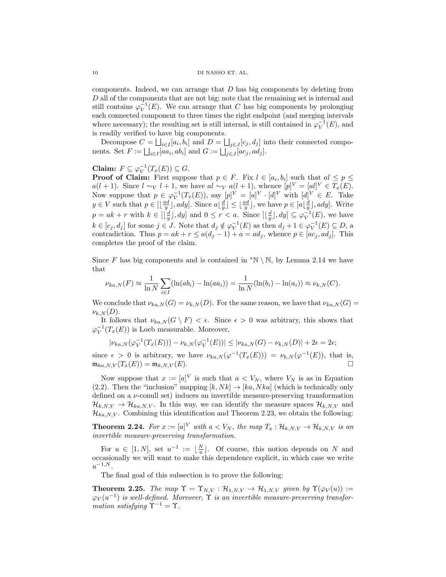components. Indeed, we can arrange that  $D$  has big components by deleting from D all of the components that are not big; note that the remaining set is internal and still contains  $\varphi_V^{-1}(E)$ . We can arrange that C has big components by prolonging each connected component to three times the right endpoint (and merging intervals where necessary); the resulting set is still internal, is still contained in  $\varphi_V^{-1}(E)$ , and is readily verified to have big components.

Decompose  $C = \bigsqcup_{i \in I} [a_i, b_i]$  and  $D = \bigsqcup_{j \in J} [c_j, d_j]$  into their connected components. Set  $F := \bigsqcup_{i \in I} [aa_i, ab_i]$  and  $G := \bigsqcup_{j \in J} [ac_j, ad_j]$ .

# Claim:  $F \subseteq \varphi_V^{-1}(T_x(E)) \subseteq G$ .

**Proof of Claim:** First suppose that  $p \in F$ . Fix  $l \in [a_i, b_i]$  such that  $al \leq p \leq$  $a(l + 1)$ . Since  $l \sim_V l + 1$ , we have  $al \sim_V a(l + 1)$ , whence  $[p]^V = [al]^V \in T_x(E)$ . Now suppose that  $p \in \varphi_V^{-1}(T_x(E))$ , say  $[p]^V = [a]^V \cdot [d]^V$  with  $[d]^V \in E$ . Take  $y \in V$  such that  $p \in [\lfloor \frac{ad}{y} \rfloor, ady]$ . Since  $a\lfloor \frac{d}{y} \rfloor \leq \lfloor \frac{ad}{y} \rfloor$ , we have  $p \in [a\lfloor \frac{d}{y} \rfloor, ady]$ . Write  $p = ak + r$  with  $k \in [\lfloor \frac{d}{y} \rfloor, dy]$  and  $0 \leq r < a$ . Since  $[\lfloor \frac{d}{y} \rfloor, dy] \subseteq \varphi_V^{-1}(E)$ , we have  $k \in [c_j, d_j]$  for some  $j \in J$ . Note that  $d_j \notin \varphi_V^{-1}(E)$  as then  $d_j + 1 \in \varphi_V^{-1}(E) \subseteq D$ , a contradiction. Thus  $p = ak + r \leq a(d_j - 1) + a = ad_j$ , whence  $p \in [ac_j, ad_j]$ . This completes the proof of the claim.

Since F has big components and is contained in  $*\mathbb{N} \setminus \mathbb{N}$ , by Lemma 2.14 we have that

$$
\nu_{ka,N}(F) \approx \frac{1}{\ln N} \sum_{i \in I} (\ln(ab_i) - \ln(aa_i)) = \frac{1}{\ln N} (\ln(b_i) - \ln(a_i)) \approx \nu_{k,N}(C).
$$

We conclude that  $\nu_{ka,N}(G) = \nu_{k,N}(D)$ . For the same reason, we have that  $\nu_{ka,N}(G)$  $\nu_{k,N}(D)$ .

It follows that  $\nu_{ka,N}(G \setminus F) < \epsilon$ . Since  $\epsilon > 0$  was arbitrary, this shows that  $\varphi_V^{-1}(T_x(E))$  is Loeb measurable. Moreover,

$$
|\nu_{ka,N}(\varphi_V^{-1}(T_x(E))) - \nu_{k,N}(\varphi_V^{-1}(E))| \le |\nu_{ka,N}(G) - \nu_{k,N}(D)| + 2\epsilon = 2\epsilon;
$$

since  $\epsilon > 0$  is arbitrary, we have  $\nu_{ka,N}(\varphi^{-1}(T_x(E))) = \nu_{k,N}(\varphi^{-1}(E))$ , that is,  $\mathfrak{m}_{ka,N,V}(T_x(E)) = \mathfrak{m}_{k,N,V}(E).$ 

Now suppose that  $x := [a]^V$  is such that  $a < V_N$ , where  $V_N$  is as in Equation (2.2). Then the "inclusion" mapping  $[k, Nk] \rightarrow [ka, Nka]$  (which is technically only defined on a ν-conull set) induces an invertible measure-preserving transformation  $\mathcal{H}_{k,N,V} \to \mathcal{H}_{ka,N,V}$ . In this way, we can identify the measure spaces  $\mathcal{H}_{k,N,V}$  and  $\mathcal{H}_{ka,N,V}$ . Combining this identification and Theorem 2.23, we obtain the following:

**Theorem 2.24.** For  $x := [a]^V$  with  $a < V_N$ , the map  $T_x : \mathcal{H}_{k,N,V} \to \mathcal{H}_{k,N,V}$  is an invertible measure-preserving transformation.

For  $u \in [1, N]$ , set  $u^{-1} := \lfloor \frac{N}{u} \rfloor$ . Of course, this notion depends on N and occasionally we will want to make this dependence explicit, in which case we write  $u^{-1,N}.$ 

The final goal of this subsection is to prove the following:

**Theorem 2.25.** The map  $\Upsilon = \Upsilon_{N,V} : \mathcal{H}_{1,N,V} \to \mathcal{H}_{1,N,V}$  given by  $\Upsilon(\varphi_V(u)) :=$  $\varphi_V(u^{-1})$  is well-defined. Moreover,  $\Upsilon$  is an invertible measure-preserving transformation satisfying  $\Upsilon^{-1} = \Upsilon$ .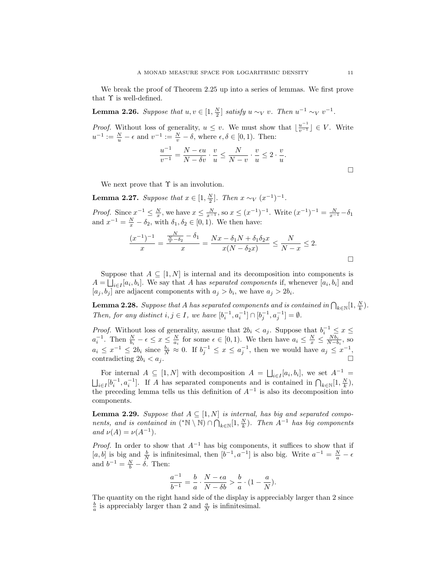We break the proof of Theorem 2.25 up into a series of lemmas. We first prove that  $\Upsilon$  is well-defined.

**Lemma 2.26.** Suppose that  $u, v \in [1, \frac{N}{2}]$  satisfy  $u \sim_V v$ . Then  $u^{-1} \sim_V v^{-1}$ .

*Proof.* Without loss of generality,  $u \leq v$ . We must show that  $\lfloor \frac{u^{-1}}{v^{-1}} \rfloor \in V$ . Write  $u^{-1} := \frac{N}{u} - \epsilon$  and  $v^{-1} := \frac{N}{v} - \delta$ , where  $\epsilon, \delta \in [0, 1)$ . Then:

$$
\frac{u^{-1}}{v^{-1}} = \frac{N - \epsilon u}{N - \delta v} \cdot \frac{v}{u} \le \frac{N}{N - v} \cdot \frac{v}{u} \le 2 \cdot \frac{v}{u}.
$$

We next prove that  $\Upsilon$  is an involution.

**Lemma 2.27.** Suppose that  $x \in [1, \frac{N}{2}]$ . Then  $x \sim_V (x^{-1})^{-1}$ .

*Proof.* Since  $x^{-1} \le \frac{N}{x}$ , we have  $x \le \frac{N}{x^{-1}}$ , so  $x \le (x^{-1})^{-1}$ . Write  $(x^{-1})^{-1} = \frac{N}{x^{-1}} - \delta_1$ and  $x^{-1} = \frac{N}{x} - \delta_2$ , with  $\delta_1, \delta_2 \in [0, 1)$ . We then have:

$$
\frac{(x^{-1})^{-1}}{x} = \frac{\frac{N}{x-\delta_2} - \delta_1}{x} = \frac{Nx - \delta_1N + \delta_1\delta_2x}{x(N-\delta_2x)} \le \frac{N}{N-x} \le 2.
$$

Suppose that  $A \subseteq [1, N]$  is internal and its decomposition into components is  $A = \bigsqcup_{i \in I} [a_i, b_i]$ . We say that A has separated components if, whenever  $[a_i, b_i]$  and  $[a_j, b_j]$  are adjacent components with  $a_j > b_i$ , we have  $a_j > 2b_i$ .

**Lemma 2.28.** Suppose that A has separated components and is contained in  $\bigcap_{k\in\mathbb{N}}[1,\frac{N}{k})$ . Then, for any distinct  $i, j \in I$ , we have  $[b_i^{-1}, a_i^{-1}] \cap [b_j^{-1}, a_j^{-1}] = \emptyset$ .

*Proof.* Without loss of generality, assume that  $2b_i < a_j$ . Suppose that  $b_i^{-1} \leq x \leq$  $a_i^{-1}$ . Then  $\frac{N}{b_i} - \epsilon \leq x \leq \frac{N}{a_i}$  for some  $\epsilon \in [0,1)$ . We then have  $a_i \leq \frac{N}{x} \leq \frac{Nb_i}{N-b_i}$ , so  $a_i \leq x^{-1} \leq 2b_i$  since  $\frac{b_i}{N} \approx 0$ . If  $b_j^{-1} \leq x \leq a_j^{-1}$ , then we would have  $a_j \leq x^{-1}$ , contradicting  $2b_i < a_j$ .

For internal  $A \subseteq [1, N]$  with decomposition  $A = \bigsqcup_{i \in I} [a_i, b_i]$ , we set  $A^{-1} =$  $\bigcup_{i\in I} [b_i^{-1}, a_i^{-1}]$ . If A has separated components and is contained in  $\bigcap_{k\in\mathbb{N}}[1,\frac{N}{k}),$ the preceding lemma tells us this definition of  $A^{-1}$  is also its decomposition into components.

**Lemma 2.29.** Suppose that  $A \subseteq [1, N]$  is internal, has big and separated components, and is contained in  $(*\mathbb{N} \setminus \mathbb{N}) \cap \bigcap_{k \in \mathbb{N}} [1, \frac{N}{k})$ . Then  $A^{-1}$  has big components and  $\nu(A) = \nu(A^{-1}).$ 

*Proof.* In order to show that  $A^{-1}$  has big components, it suffices to show that if [a, b] is big and  $\frac{b}{N}$  is infinitesimal, then  $[b^{-1}, a^{-1}]$  is also big. Write  $a^{-1} = \frac{N}{a} - \epsilon$ and  $b^{-1} = \frac{N}{b} - \delta$ . Then:

$$
\frac{a^{-1}}{b^{-1}} = \frac{b}{a} \cdot \frac{N - \epsilon a}{N - \delta b} > \frac{b}{a} \cdot (1 - \frac{a}{N}).
$$

The quantity on the right hand side of the display is appreciably larger than 2 since  $\frac{b}{a}$  is appreciably larger than 2 and  $\frac{a}{N}$  is infinitesimal.

 $\Box$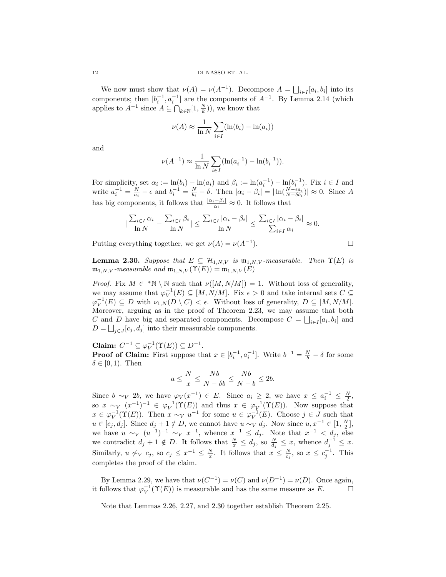We now must show that  $\nu(A) = \nu(A^{-1})$ . Decompose  $A = \bigsqcup_{i \in I} [a_i, b_i]$  into its components; then  $[b_i^{-1}, a_i^{-1}]$  are the components of  $A^{-1}$ . By Lemma 2.14 (which applies to  $A^{-1}$  since  $A \subseteq \bigcap_{k \in \mathbb{N}} [1, \frac{N}{k})$ , we know that

$$
\nu(A) \approx \frac{1}{\ln N} \sum_{i \in I} (\ln(b_i) - \ln(a_i))
$$

and

$$
\nu(A^{-1}) \approx \frac{1}{\ln N} \sum_{i \in I} (\ln(a_i^{-1}) - \ln(b_i^{-1})).
$$

For simplicity, set  $\alpha_i := \ln(b_i) - \ln(a_i)$  and  $\beta_i := \ln(a_i^{-1}) - \ln(b_i^{-1})$ . Fix  $i \in I$  and write  $a_i^{-1} = \frac{N}{a_i} - \epsilon$  and  $b_i^{-1} = \frac{N}{b_i} - \delta$ . Then  $|\alpha_i - \beta_i| = |\ln(\frac{N - \epsilon a_i}{N - \delta b_i})| \approx 0$ . Since A has big components, it follows that  $\frac{|\alpha_i - \beta_i|}{\alpha_i} \approx 0$ . It follows that

$$
|\frac{\sum_{i\in I}\alpha_i}{\ln N}-\frac{\sum_{i\in I}\beta_i}{\ln N}|\leq \frac{\sum_{i\in I}|\alpha_i-\beta_i|}{\ln N}\leq \frac{\sum_{i\in I}|\alpha_i-\beta_i|}{\sum_{i\in I}\alpha_i}\approx 0.
$$

Putting everything together, we get  $\nu(A) = \nu(A^{-1})$ .  $\Box$ 

**Lemma 2.30.** Suppose that  $E \subseteq \mathcal{H}_{1,N,V}$  is  $\mathfrak{m}_{1,N,V}$ -measurable. Then  $\Upsilon(E)$  is  $\mathfrak{m}_{1,N,V}$ -measurable and  $\mathfrak{m}_{1,N,V}(\Upsilon(E)) = \mathfrak{m}_{1,N,V}(E)$ 

*Proof.* Fix  $M \in {}^*\mathbb{N} \setminus \mathbb{N}$  such that  $\nu([M, N/M]) = 1$ . Without loss of generality, we may assume that  $\varphi_V^{-1}(E) \subseteq [M, N/M]$ . Fix  $\epsilon > 0$  and take internal sets  $C \subseteq$  $\varphi_V^{-1}(E) \subseteq D$  with  $\nu_{1,N}(D \setminus C) < \epsilon$ . Without loss of generality,  $D \subseteq [M, N/M]$ . Moreover, arguing as in the proof of Theorem 2.23, we may assume that both C and D have big and separated components. Decompose  $C = \bigsqcup_{i \in I} [a_i, b_i]$  and  $D = \bigsqcup_{j \in J} [c_j, d_j]$  into their measurable components.

Claim:  $C^{-1} \subseteq \varphi_V^{-1}(\Upsilon(E)) \subseteq D^{-1}$ .

**Proof of Claim:** First suppose that  $x \in [b_i^{-1}, a_i^{-1}]$ . Write  $b^{-1} = \frac{N}{b} - \delta$  for some  $\delta \in [0,1)$ . Then

$$
a \le \frac{N}{x} \le \frac{Nb}{N - \delta b} \le \frac{Nb}{N - b} \le 2b.
$$

Since  $b \sim_V 2b$ , we have  $\varphi_V(x^{-1}) \in E$ . Since  $a_i \geq 2$ , we have  $x \leq a_i^{-1} \leq \frac{N}{2}$ , so  $x \sim_V (x^{-1})^{-1} \in \varphi_V^{-1}(\Upsilon(E))$  and thus  $x \in \varphi_V^{-1}(\Upsilon(E))$ . Now suppose that  $x \in \varphi_V^{-1}(\Upsilon(E))$ . Then  $x \sim_V u^{-1}$  for some  $u \in \varphi_V^{-1}(E)$ . Choose  $j \in J$  such that  $u \in [c_j, d_j]$ . Since  $d_j + 1 \notin D$ , we cannot have  $u \sim_V d_j$ . Now since  $u, x^{-1} \in [1, \frac{N}{2}]$ , we have  $u \sim_V (u^{-1})^{-1} \sim_V x^{-1}$ , whence  $x^{-1} \leq d_j$ . Note that  $x^{-1} \leq d_j$ , else we contradict  $d_j + 1 \notin D$ . It follows that  $\frac{N}{x} \leq d_j$ , so  $\frac{N}{d_j} \leq x$ , whence  $d_j^{-1} \leq x$ . Similarly,  $u \nsim_V c_j$ , so  $c_j \leq x^{-1} \leq \frac{N}{x}$ . It follows that  $x \leq \frac{N}{c_j}$ , so  $x \leq c_j^{-1}$ . This completes the proof of the claim.

By Lemma 2.29, we have that  $\nu(C^{-1}) = \nu(C)$  and  $\nu(D^{-1}) = \nu(D)$ . Once again, it follows that  $\varphi_V^{-1}(\Upsilon(E))$  is measurable and has the same measure as E.

Note that Lemmas 2.26, 2.27, and 2.30 together establish Theorem 2.25.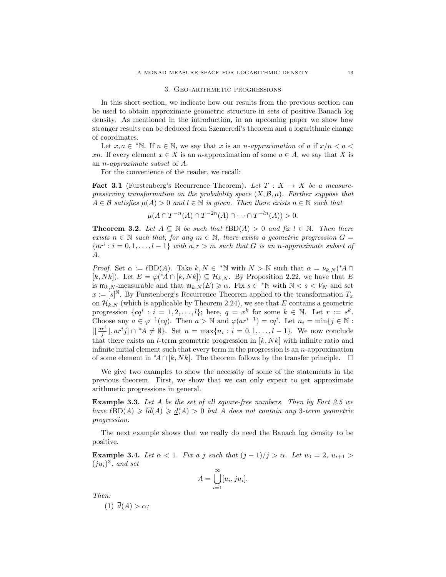### 3. Geo-arithmetic progressions

In this short section, we indicate how our results from the previous section can be used to obtain approximate geometric structure in sets of positive Banach log density. As mentioned in the introduction, in an upcoming paper we show how stronger results can be deduced from Szemeredi's theorem and a logarithmic change of coordinates.

Let  $x, a \in {}^{\ast} \mathbb{N}$ . If  $n \in \mathbb{N}$ , we say that x is an n-approximation of a if  $x/n < a$ xn. If every element  $x \in X$  is an n-approximation of some  $a \in A$ , we say that X is an n-approximate subset of A.

For the convenience of the reader, we recall:

**Fact 3.1** (Furstenberg's Recurrence Theorem). Let  $T : X \rightarrow X$  be a measurepreserving transformation on the probability space  $(X, \mathcal{B}, \mu)$ . Further suppose that  $A \in \mathcal{B}$  satisfies  $\mu(A) > 0$  and  $l \in \mathbb{N}$  is given. Then there exists  $n \in \mathbb{N}$  such that

$$
\mu(A \cap T^{-n}(A) \cap T^{-2n}(A) \cap \dots \cap T^{-ln}(A)) > 0.
$$

**Theorem 3.2.** Let  $A \subseteq \mathbb{N}$  be such that  $\ell BD(A) > 0$  and fix  $l \in \mathbb{N}$ . Then there exists  $n \in \mathbb{N}$  such that, for any  $m \in \mathbb{N}$ , there exists a geometric progression  $G =$  $\{ar^i : i = 0, 1, \ldots, l-1\}$  with  $a, r > m$  such that G is an n-approximate subset of A.

*Proof.* Set  $\alpha := \ell BD(A)$ . Take  $k, N \in {}^{\ast} \mathbb{N}$  with  $N > \mathbb{N}$  such that  $\alpha = \nu_{k,N} ({}^{\ast} A \cap {}^{\ast} A)$ [k, Nk]). Let  $E = \varphi({^*A} \cap [k, Nk]) \subseteq \mathcal{H}_{k,N}$ . By Proposition 2.22, we have that E is  $\mathfrak{m}_{k,N}$ -measurable and that  $\mathfrak{m}_{k,N}(E) \geqslant \alpha$ . Fix  $s \in {}^*\mathbb{N}$  with  $\mathbb{N} < s < V_N$  and set  $x := [s]^{\mathbb{N}}$ . By Furstenberg's Recurrence Theorem applied to the transformation  $T_x$ on  $\mathcal{H}_{k,N}$  (which is applicable by Theorem 2.24), we see that E contains a geometric progression  $\{cq^i : i = 1, 2, ..., l\}$ ; here,  $q = x^k$  for some  $k \in \mathbb{N}$ . Let  $r := s^k$ . Choose any  $a \in \varphi^{-1}(cq)$ . Then  $a > \mathbb{N}$  and  $\varphi(ar^{i-1}) = cq^i$ . Let  $n_i = \min\{j \in \mathbb{N} :$  $[\lfloor \frac{ar^i}{j} \rfloor, ar^ij] \cap {}^*A \neq \emptyset$ . Set  $n = \max\{n_i : i = 0, 1, ..., l-1\}$ . We now conclude that there exists an *l*-term geometric progression in  $[k, Nk]$  with infinite ratio and infinite initial element such that every term in the progression is an  $n$ -approximation of some element in  $^*A \cap [k, Nk]$ . The theorem follows by the transfer principle.  $\Box$ 

We give two examples to show the necessity of some of the statements in the previous theorem. First, we show that we can only expect to get approximate arithmetic progressions in general.

Example 3.3. Let A be the set of all square-free numbers. Then by Fact 2.5 we have  $\ell BD(A) \geq d(A) \geq d(A) > 0$  but A does not contain any 3-term geometric progression.

The next example shows that we really do need the Banach log density to be positive.

Example 3.4. Let  $\alpha < 1$ . Fix a j such that  $(j-1)/j > \alpha$ . Let  $u_0 = 2$ ,  $u_{i+1} >$  $(ju_i)^3$ , and set

$$
A = \bigcup_{i=1}^{\infty} [u_i, ju_i].
$$

Then:

(1)  $\overline{d}(A) > \alpha$ ;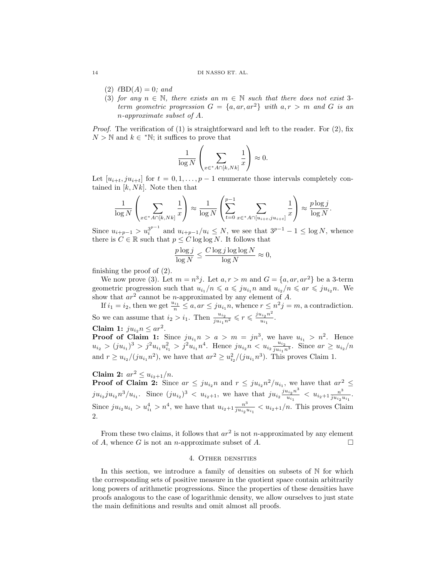#### 14 DI NASSO ET. AL.

- $(2)$   $\ell BD(A) = 0$ ; and
- (3) for any  $n \in \mathbb{N}$ , there exists an  $m \in \mathbb{N}$  such that there does not exist 3term geometric progression  $G = \{a, ar, ar^2\}$  with  $a, r > m$  and G is an n-approximate subset of A.

*Proof.* The verification of  $(1)$  is straightforward and left to the reader. For  $(2)$ , fix  $N > N$  and  $k \in {}^{\ast}N$ ; it suffices to prove that

$$
\frac{1}{\log N} \left( \sum_{x \in {^*A} \cap [k, Nk]} \frac{1}{x} \right) \approx 0.
$$

Let  $[u_{i+t}, ju_{i+t}]$  for  $t = 0, 1, \ldots, p-1$  enumerate those intervals completely contained in  $[k, Nk]$ . Note then that

$$
\frac{1}{\log N} \left( \sum_{x \in {^*A} \cap [k, Nk]} \frac{1}{x} \right) \approx \frac{1}{\log N} \left( \sum_{t=0}^{p-1} \sum_{x \in {^*A} \cap [u_{i+t}, ju_{i+t}]} \frac{1}{x} \right) \approx \frac{p \log j}{\log N}.
$$

Since  $u_{i+p-1} > u_i^{3^{p-1}}$  and  $u_{i+p-1}/u_i \leq N$ , we see that  $3^{p-1} - 1 \leq \log N$ , whence there is  $C \in \mathbb{R}$  such that  $p \leq C \log \log N$ . It follows that

$$
\frac{p \log j}{\log N} \le \frac{C \log j \log \log N}{\log N} \approx 0,
$$

finishing the proof of (2).

We now prove (3). Let  $m = n^3 j$ . Let  $a, r > m$  and  $G = \{a, ar, ar^2\}$  be a 3-term geometric progression such that  $u_{i_1}/n \leqslant a \leqslant ju_{i_1}n$  and  $u_{i_2}/n \leqslant ar \leqslant ju_{i_2}n$ . We show that  $ar^2$  cannot be *n*-approximated by any element of A.

If  $i_1 = i_2$ , then we get  $\frac{u_{i_1}}{n} \leq a$ ,  $ar \leq ju_{i_1}n$ , whence  $r \leq n^2j = m$ , a contradiction. So we can assume that  $i_2 > i_1$ . Then  $\frac{u_{i_2}}{j u_{i_1} n^2} \leqslant r \leqslant \frac{j u_{i_2} n^2}{u_{i_1}}$  $rac{u_{i_2}u}{u_{i_1}}$ .

$$
Claim 1: ju_{i_2}n \le ar^2.
$$

**Proof of Claim 1:** Since  $ju_{i_1} n > a > m = jn^3$ , we have  $u_{i_1} > n^2$ . Hence  $u_{i_2} > (j u_{i_1})^3 > j^2 u_{i_1} u_{i_1}^2 > j^2 u_{i_1}^2 n^4$ . Hence  $j u_{i_2} n < u_{i_2} \frac{u_{i_2}}{j u_{i_1} n^4}$  $\frac{u_{i_2}}{j u_{i_1} n^3}$ . Since  $ar \geq u_{i_2}/n$ and  $r \geq u_{i_2}/(j u_{i_1} n^2)$ , we have that  $ar^2 \geq u_{i_2}^2/(j u_{i_1} n^3)$ . This proves Claim 1.

# Claim 2:  $ar^2 \leq u_{i_2+1}/n$ .

**Proof of Claim 2:** Since  $ar \leq ju_{i_2}n$  and  $r \leq ju_{i_2}n^2/u_{i_1}$ , we have that  $ar^2 \leq$  $ju_{i_2}ju_{i_2}n^3/u_{i_1}$ . Since  $(ju_{i_2})^3 < u_{i_2+1}$ , we have that  $ju_{i_2}\frac{ju_{i_2}n^3}{u_{i_2}}$  $\frac{u_{i_2}n^3}{u_{i_1}} < u_{i_2+1}\frac{n^3}{ju_{i_2}n^3}$  $\frac{n^{\circ}}{ju_{i_2}u_{i_1}}$ . Since  $ju_{i_2}u_{i_1} > u_{i_1}^4 > n^4$ , we have that  $u_{i_2+1} \frac{n^3}{ju_{i_2}v_{i_1}}$  $\frac{n^{\circ}}{j u_{i_2} u_{i_1}} < u_{i_2+1}/n$ . This proves Claim 2.

From these two claims, it follows that  $ar^2$  is not *n*-approximated by any element of A, whence G is not an *n*-approximate subset of A.

# 4. Other densities

In this section, we introduce a family of densities on subsets of  $N$  for which the corresponding sets of positive measure in the quotient space contain arbitrarily long powers of arithmetic progressions. Since the properties of these densities have proofs analogous to the case of logarithmic density, we allow ourselves to just state the main definitions and results and omit almost all proofs.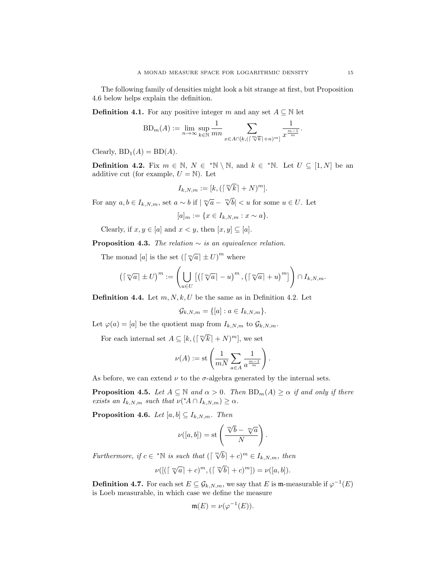The following family of densities might look a bit strange at first, but Proposition 4.6 below helps explain the definition.

**Definition 4.1.** For any positive integer m and any set  $A \subseteq \mathbb{N}$  let

$$
BD_m(A) := \lim_{n \to \infty} \sup_{k \in \mathbb{N}} \frac{1}{mn} \sum_{x \in A \cap [k, (\lceil \frac{m}{k} \rceil + n)^m]} \frac{1}{x^{\frac{m-1}{m}}}.
$$

Clearly,  $BD_1(A) = BD(A)$ .

**Definition 4.2.** Fix  $m \in \mathbb{N}$ ,  $N \in {}^* \mathbb{N} \setminus \mathbb{N}$ , and  $k \in {}^* \mathbb{N}$ . Let  $U \subseteq [1, N]$  be an additive cut (for example,  $U = N$ ). Let

$$
I_{k,N,m} := [k, (\lceil \sqrt[m]{k} \rceil + N)^m].
$$

For any  $a, b \in I_{k,N,m}$ , set  $a \sim b$  if  $|\sqrt[m]{a} - \sqrt[m]{b}| < u$  for some  $u \in U$ . Let

 $[a]_m := \{x \in I_{k,N,m} : x \sim a\}.$ 

Clearly, if  $x, y \in [a]$  and  $x < y$ , then  $[x, y] \subseteq [a]$ .

**Proposition 4.3.** The relation  $\sim$  is an equivalence relation.

The monad [a] is the set  $\left(\lceil \sqrt[m]{a} \rceil \pm U\right)^m$  where

$$
\left(\lceil \sqrt[m]{a} \rceil \pm U \right)^m := \left(\bigcup_{u \in U} \left[\left(\lceil \sqrt[m]{a} \rceil - u\right)^m, \left(\lceil \sqrt[m]{a} \rceil + u\right)^m\right]\right) \cap I_{k,N,m}.
$$

**Definition 4.4.** Let  $m, N, k, U$  be the same as in Definition 4.2. Let

$$
\mathcal{G}_{k,N,m} = \{ [a] : a \in I_{k,N,m} \}.
$$

Let  $\varphi(a) = [a]$  be the quotient map from  $I_{k,N,m}$  to  $\mathcal{G}_{k,N,m}$ .

For each internal set  $A \subseteq [k, (\lceil \sqrt[m]{k} \rceil + N)^m]$ , we set

$$
\nu(A) := \text{st}\left(\frac{1}{mN} \sum_{a \in A} \frac{1}{a^{\frac{m-1}{m}}}\right)
$$

.

As before, we can extend  $\nu$  to the  $\sigma$ -algebra generated by the internal sets.

**Proposition 4.5.** Let  $A \subseteq \mathbb{N}$  and  $\alpha > 0$ . Then  $BD_m(A) \geq \alpha$  if and only if there exists an  $I_{k,N,m}$  such that  $\nu({^*A} \cap I_{k,N,m}) \ge \alpha$ .

**Proposition 4.6.** Let  $[a, b] \subseteq I_{k,N,m}$ . Then

$$
\nu([a, b]) = \text{st}\left(\frac{\sqrt[m]{b} - \sqrt[m]{a}}{N}\right).
$$

Furthermore, if  $c \in {}^*\mathbb{N}$  is such that  $(\lceil \sqrt[m]{b} \rceil + c)^m \in I_{k,N,m}$ , then

$$
\nu([(\lceil \sqrt[m]{a} \rceil + c)^m, (\lceil \sqrt[m]{b} \rceil + c)^m]) = \nu([a, b]).
$$

**Definition 4.7.** For each set  $E \subseteq \mathcal{G}_{k,N,m}$ , we say that E is m-measurable if  $\varphi^{-1}(E)$ is Loeb measurable, in which case we define the measure

$$
\mathfrak{m}(E) = \nu(\varphi^{-1}(E)).
$$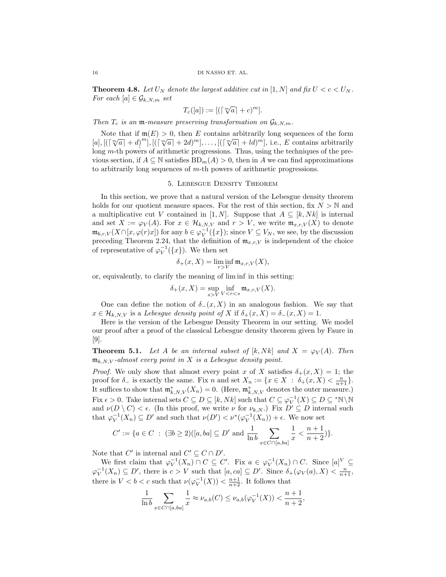**Theorem 4.8.** Let  $U_N$  denote the largest additive cut in [1, N] and fix  $U < c < U_N$ . For each  $[a] \in \mathcal{G}_{k,N,m}$  set

$$
T_c([a]):=[(\lceil \sqrt[m]{a} \rceil + c)^m].
$$

Then  $T_c$  is an m-measure preserving transformation on  $\mathcal{G}_{k,N,m}$ .

Note that if  $\mathfrak{m}(E) > 0$ , then E contains arbitrarily long sequences of the form Note that if  $\mathfrak{m}(E) > 0$ , then E contains arbitrarily long sequences of the form  $[a], [([\sqrt[m]{a}]+d)^m], [([\sqrt[m]{a}]+2d)^m], \ldots, [([\sqrt[m]{a}]+ld)^m],$  i.e., E contains arbitrarily long m-th powers of arithmetic progressions. Thus, using the techniques of the previous section, if  $A \subseteq \mathbb{N}$  satisfies  $BD_m(A) > 0$ , then in A we can find approximations to arbitrarily long sequences of  $m$ -th powers of arithmetic progressions.

# 5. Lebesgue Density Theorem

In this section, we prove that a natural version of the Lebesgue density theorem holds for our quotient measure spaces. For the rest of this section, fix  $N > N$  and a multiplicative cut V contained in [1, N]. Suppose that  $A \subseteq [k, Nk]$  is internal and set  $X := \varphi_V(A)$ . For  $x \in \mathcal{H}_{k,N,V}$  and  $r > V$ , we write  $\mathfrak{m}_{x,r,V}(X)$  to denote  $\mathfrak{m}_{b,r,V}(X \cap [x,\varphi(r)x])$  for any  $b \in \varphi_V^{-1}(\lbrace x \rbrace)$ ; since  $V \subseteq V_N$ , we see, by the discussion preceding Theorem 2.24, that the definition of  $\mathfrak{m}_{x,r,V}$  is independent of the choice of representative of  $\varphi_V^{-1}(\lbrace x \rbrace)$ . We then set

$$
\delta_+(x,X)=\liminf_{r>V}\mathfrak{m}_{x,r,V}(X),
$$

or, equivalently, to clarify the meaning of lim inf in this setting:

$$
\delta_{+}(x,X) = \sup_{s > V} \inf_{V < r < s} \mathfrak{m}_{x,r,V}(X).
$$

One can define the notion of  $\delta_-(x, X)$  in an analogous fashion. We say that  $x \in \mathcal{H}_{k,N,V}$  is a Lebesgue density point of X if  $\delta_+(x,X) = \delta_-(x,X) = 1$ .

Here is the version of the Lebesgue Density Theorem in our setting. We model our proof after a proof of the classical Lebesgue density theorem given by Faure in [9].

**Theorem 5.1.** Let A be an internal subset of  $[k, Nk]$  and  $X = \varphi_V(A)$ . Then  $\mathfrak{m}_{k,N,V}$ -almost every point in X is a Lebesgue density point.

*Proof.* We only show that almost every point x of X satisfies  $\delta_+(x, X) = 1$ ; the proof for  $\delta_-$  is exactly the same. Fix n and set  $X_n := \{x \in X : \delta_+(x, X) < \frac{n}{n+1}\}.$ It suffices to show that  $\mathfrak{m}_{k,N,V}^*(X_n) = 0$ . (Here,  $\mathfrak{m}_{k,N,V}^*$  denotes the outer measure.) Fix  $\epsilon > 0$ . Take internal sets  $C \subseteq D \subseteq [k, Nk]$  such that  $C \subseteq \varphi_V^{-1}(X) \subseteq D \subseteq {}^*\mathbb{N} \setminus \mathbb{N}$ and  $\nu(D \setminus C) < \epsilon$ . (In this proof, we write  $\nu$  for  $\nu_{k,N}$ .) Fix  $D' \subseteq D$  internal such that  $\varphi_V^{-1}(X_n) \subseteq D'$  and such that  $\nu(D') < \nu^*(\varphi_V^{-1}(X_n)) + \epsilon$ . We now set

$$
C' := \{ a \in C \; : \; (\exists b \ge 2) ([a, ba] \subseteq D' \text{ and } \frac{1}{\ln b} \sum_{x \in C \cap [a, ba]} \frac{1}{x} < \frac{n+1}{n+2} \}.
$$

Note that  $C'$  is internal and  $C' \subseteq C \cap D'$ .

We first claim that  $\varphi_V^{-1}(X_n) \cap C \subseteq C'$ . Fix  $a \in \varphi_V^{-1}(X_n) \cap C$ . Since  $[a]^V \subseteq$  $\varphi_V^{-1}(X_n) \subseteq D'$ , there is  $c > V$  such that  $[a, ca] \subseteq D'$ . Since  $\delta_+(\varphi_V(a), X) < \frac{n}{n+1}$ , there is  $V < b < c$  such that  $\nu(\varphi_V^{-1}(X)) < \frac{n+1}{n+2}$ . It follows that

$$
\frac{1}{\ln b} \sum_{x \in C \cap [a,ba]} \frac{1}{x} \approx \nu_{a,b}(C) \le \nu_{a,b}(\varphi_V^{-1}(X)) < \frac{n+1}{n+2},
$$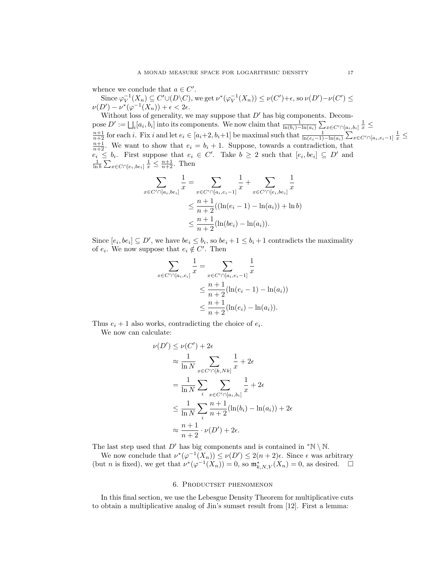whence we conclude that  $a \in C'$ .

Since  $\varphi_V^{-1}(X_n) \subseteq C' \cup (D \setminus C)$ , we get  $\nu^*(\varphi_V^{-1}(X_n)) \le \nu(C') + \epsilon$ , so  $\nu(D') - \nu(C') \le \epsilon$  $\nu(D') - \nu^*(\varphi^{-1}(X_n)) + \epsilon < 2\epsilon.$ 

Without loss of generality, we may suppose that  $D'$  has big components. Decompose  $D' := \bigsqcup_i [a_i, b_i]$  into its components. We now claim that  $\frac{1}{\ln(b_i) - \ln(a_i)} \sum_{x \in C' \cap [a_i, b_i]} \frac{1}{x} \le \frac{n+1}{n+2}$  for each *i*. Fix *i* and let  $e_i \in [a_i + 2, b_i + 1]$  be maximal such that  $\frac{1}{\ln(e_i - 1) - \ln(a_i)} \sum_{x \in C' \cap [a$  $\frac{n+1}{n+2}$ . We want to show that  $e_i = b_i + 1$ . Suppose, towards a contradiction, that  $e_i \leq b_i$ . First suppose that  $e_i \in C'$ . Take  $b \geq 2$  such that  $[e_i, be_i] \subseteq D'$  and  $\frac{1}{\ln b} \sum_{x \in C \cap [e_i, be_i]} \frac{1}{x} \leq \frac{n+1}{n+2}$ . Then

$$
\sum_{x \in C' \cap [a_i, be_i]} \frac{1}{x} = \sum_{x \in C' \cap [a_i, e_i - 1]} \frac{1}{x} + \sum_{x \in C' \cap [e_i, be_i]} \frac{1}{x}
$$
  

$$
\leq \frac{n+1}{n+2} ((\ln(e_i - 1) - \ln(a_i)) + \ln b)
$$
  

$$
\leq \frac{n+1}{n+2} (\ln(be_i) - \ln(a_i)).
$$

Since  $[e_i, be_i] \subseteq D'$ , we have  $be_i \leq b_i$ , so  $be_i + 1 \leq b_i + 1$  contradicts the maximality of  $e_i$ . We now suppose that  $e_i \notin C'$ . Then

$$
\sum_{x \in C' \cap [a_i, e_i]} \frac{1}{x} = \sum_{x \in C' \cap [a_i, e_i - 1]} \frac{1}{x}
$$
  

$$
\leq \frac{n+1}{n+2} (\ln(e_i - 1) - \ln(a_i))
$$
  

$$
\leq \frac{n+1}{n+2} (\ln(e_i) - \ln(a_i)).
$$

Thus  $e_i + 1$  also works, contradicting the choice of  $e_i$ .

We now can calculate:

$$
\nu(D') \leq \nu(C') + 2\epsilon
$$
  
\n
$$
\approx \frac{1}{\ln N} \sum_{x \in C' \cap [k, Nk]} \frac{1}{x} + 2\epsilon
$$
  
\n
$$
= \frac{1}{\ln N} \sum_{i} \sum_{x \in C' \cap [a_i, b_i]} \frac{1}{x} + 2\epsilon
$$
  
\n
$$
\leq \frac{1}{\ln N} \sum_{i} \frac{n+1}{n+2} (\ln(b_i) - \ln(a_i)) + 2\epsilon
$$
  
\n
$$
\approx \frac{n+1}{n+2} \cdot \nu(D') + 2\epsilon.
$$

The last step used that  $D'$  has big components and is contained in \*N \ N.

We now conclude that  $\nu^*(\varphi^{-1}(X_n)) \leq \nu(D') \leq 2(n+2)\epsilon$ . Since  $\epsilon$  was arbitrary (but *n* is fixed), we get that  $\nu^*(\varphi^{-1}(X_n)) = 0$ , so  $\mathfrak{m}^*_{k,N,V}(X_n) = 0$ , as desired.  $\Box$ 

# 6. Productset phenomenon

In this final section, we use the Lebesgue Density Theorem for multiplicative cuts to obtain a multiplicative analog of Jin's sumset result from [12]. First a lemma: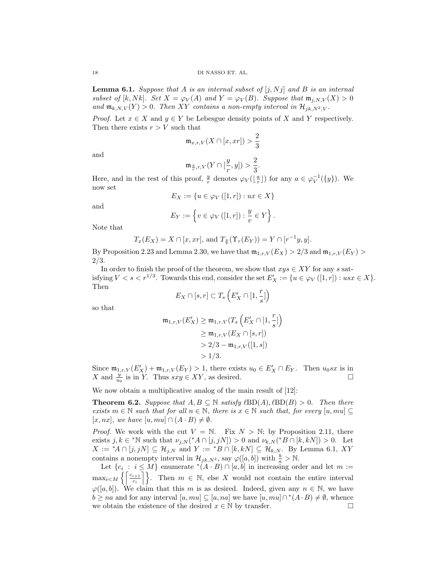**Lemma 6.1.** Suppose that A is an internal subset of  $[j, Nj]$  and B is an internal subset of [k, Nk]. Set  $X = \varphi_V(A)$  and  $Y = \varphi_V(B)$ . Suppose that  $\mathfrak{m}_{j,N,V}(X) > 0$ and  $\mathfrak{m}_{k,N,V}(Y) > 0$ . Then XY contains a non-empty interval in  $\mathcal{H}_{jk,N^2,V}$ .

*Proof.* Let  $x \in X$  and  $y \in Y$  be Lebesgue density points of X and Y respectively. Then there exists  $r > V$  such that

$$
\mathfrak{m}_{x,r,V}(X\cap [x, xr]) > \frac{2}{3}
$$

and

$$
\mathfrak{m}_{\frac{y}{r},r,V}(Y\cap[\frac{y}{r},y])>\frac{2}{3}
$$

.

Here, and in the rest of this proof,  $\frac{y}{r}$  denotes  $\varphi_V(\lfloor \frac{a}{r} \rfloor)$  for any  $a \in \varphi_V^{-1}(\{y\})$ . We now set

$$
E_X := \{ u \in \varphi_V([1, r]) : ux \in X \}
$$

and

$$
E_Y := \left\{ v \in \varphi_V([1, r]) : \frac{y}{v} \in Y \right\}.
$$

Note that

$$
T_x(E_X) = X \cap [x, xr],
$$
 and  $T_{\frac{y}{r}}(\Upsilon_r(E_Y)) = Y \cap [r^{-1}y, y].$ 

By Proposition 2.23 and Lemma 2.30, we have that  $\mathfrak{m}_{1,r,V}(E_X) > 2/3$  and  $\mathfrak{m}_{1,r,V}(E_Y) >$ 2/3.

In order to finish the proof of the theorem, we show that  $xyz \in XY$  for any s satisfying  $V < s < r^{1/3}$ . Towards this end, consider the set  $E'_X := \{u \in \varphi_V([1,r]) : usx \in X\}.$ Then

$$
E_X\cap[s,r]\subset T_s\left(E'_X\cap[1,\frac{r}{s}]\right)
$$

so that

$$
\begin{align*}\n\mathfrak{m}_{1,r,V}(E'_X) &\geq \mathfrak{m}_{1,r,V}(T_s\left(E'_X \cap [1, \frac{r}{s}]\right) \\
&\geq \mathfrak{m}_{1,r,V}(E_X \cap [s, r]) \\
&> 2/3 - \mathfrak{m}_{1,r,V}([1, s]) \\
&> 1/3.\n\end{align*}
$$

Since  $\mathfrak{m}_{1,r,V}(E_X') + \mathfrak{m}_{1,r,V}(E_Y) > 1$ , there exists  $u_0 \in E_X' \cap E_Y$ . Then  $u_0sx$  is in X and  $\frac{y}{u_0}$  is in Y. Thus  $sxy \in XY$ , as desired.

We now obtain a multiplicative analog of the main result of  $[12]$ :

**Theorem 6.2.** Suppose that  $A, B \subseteq \mathbb{N}$  satisfy  $\ell BD(A), \ell BD(B) > 0$ . Then there exists  $m \in \mathbb{N}$  such that for all  $n \in \mathbb{N}$ , there is  $x \in \mathbb{N}$  such that, for every  $[u, mu] \subseteq$  $[x, nx]$ , we have  $[u, mu] \cap (A \cdot B) \neq \emptyset$ .

*Proof.* We work with the cut  $V = N$ . Fix  $N > N$ ; by Proposition 2.11, there exists  $j, k \in N$  such that  $\nu_{j,N}({^*A} \cap [j, jN]) > 0$  and  $\nu_{k,N}({^*B} \cap [k, kN]) > 0$ . Let  $X := {}^*A \cap [j, jN] \subseteq \mathcal{H}_{j,N}$  and  $Y := {}^*B \cap [k, kN] \subseteq \mathcal{H}_{k,N}$ . By Lemma 6.1, XY contains a nonempty interval in  $\mathcal{H}_{jk,N^2}$ , say  $\varphi([a, b])$  with  $\frac{b}{a} > \mathbb{N}$ .

Let  $\{c_i : i \leq M\}$  enumerate  $\ast (A \cdot B) \cap [a, b]$  in increasing order and let  $m :=$  $\max_{i \leq M} \left\{ \left[ \frac{c_{i+1}}{c_i} \right] \right\}.$  Then  $m \in \mathbb{N}$ , else X would not contain the entire interval  $\varphi([a, b])$ . We claim that this m is as desired. Indeed, given any  $n \in \mathbb{N}$ , we have  $b \ge na$  and for any interval  $[u, mu] \subseteq [a, na]$  we have  $[u, mu] \cap (A \cdot B) \neq \emptyset$ , whence we obtain the existence of the desired  $x \in \mathbb{N}$  by transfer.